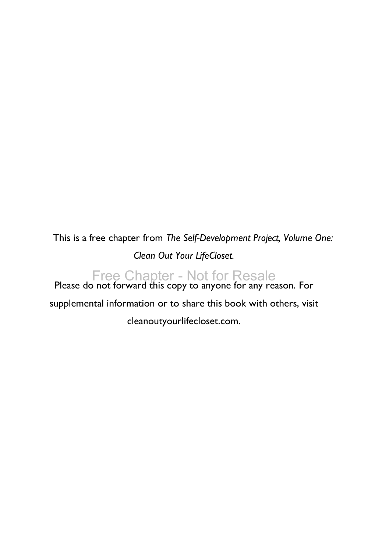This is a free chapter from *The Self-Development Project, Volume One: Clean Out Your LifeCloset.*

Free Chapter - Not for Resale<br>Please do not forward this copy to anyone for any reason. For supplemental information or to share this book with others, visit cleanoutyourlifecloset.com.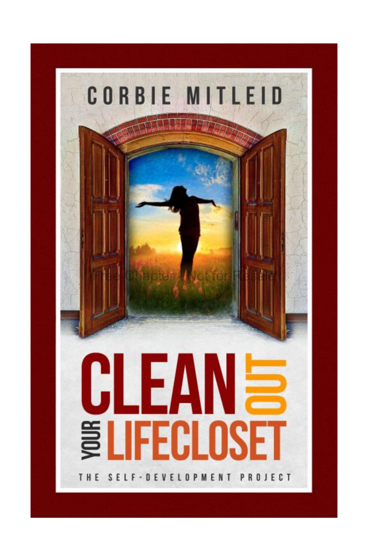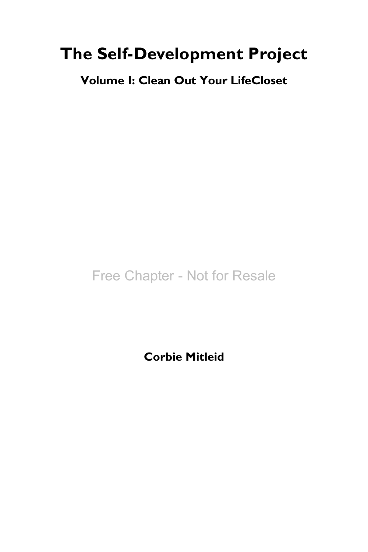### **The Self-Development Project**

**Volume I: Clean Out Your LifeCloset**

Free Chapter - Not for Resale

**Corbie Mitleid**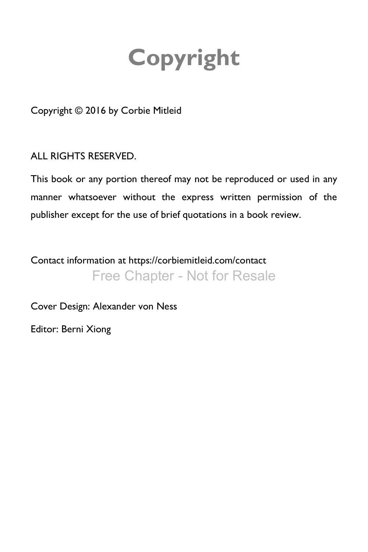# **Copyright**

<span id="page-3-0"></span>Copyright © 2016 by Corbie Mitleid

ALL RIGHTS RESERVED.

This book or any portion thereof may not be reproduced or used in any manner whatsoever without the express written permission of the publisher except for the use of brief quotations in a book review.

Contact information at https://corbiemitleid.com/contact Free Chapter - Not for Resale

Cover Design: Alexander von Ness

Editor: Berni Xiong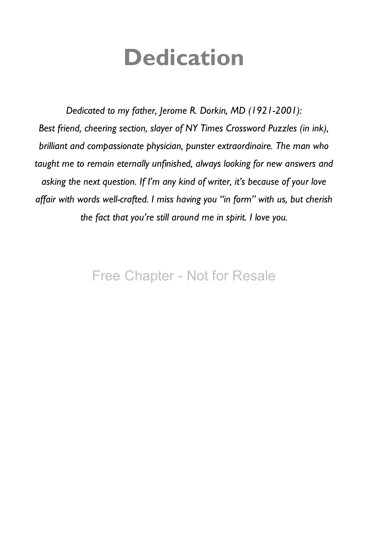## **Dedication**

<span id="page-4-0"></span>*Dedicated to my father, Jerome R. Dorkin, MD (1921-2001): Best friend, cheering section, slayer of NY Times Crossword Puzzles (in ink), brilliant and compassionate physician, punster extraordinaire. The man who taught me to remain eternally unfinished, always looking for new answers and asking the next question. If I'm any kind of writer, it's because of your love affair with words well-crafted. I miss having you "in form" with us, but cherish the fact that you're still around me in spirit. I love you.*

### Free Chapter - Not for Resale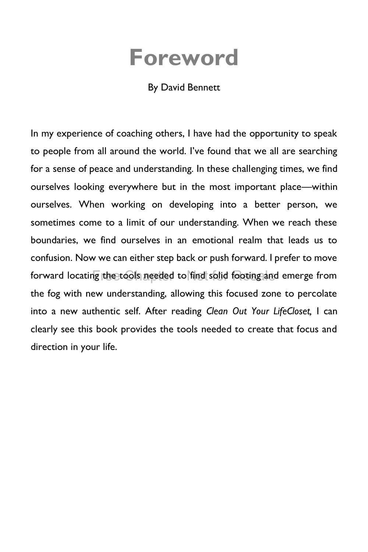## **Foreword**

#### By David Bennett

<span id="page-5-0"></span>In my experience of coaching others, I have had the opportunity to speak to people from all around the world. I've found that we all are searching for a sense of peace and understanding. In these challenging times, we find ourselves looking everywhere but in the most important place—within ourselves. When working on developing into a better person, we sometimes come to a limit of our understanding. When we reach these boundaries, we find ourselves in an emotional realm that leads us to confusion. Now we can either step back or push forward. I prefer to move forward locating the tools needed to find solid footing and emerge from the fog with new understanding, allowing this focused zone to percolate into a new authentic self. After reading *Clean Out Your LifeCloset,* I can clearly see this book provides the tools needed to create that focus and direction in your life.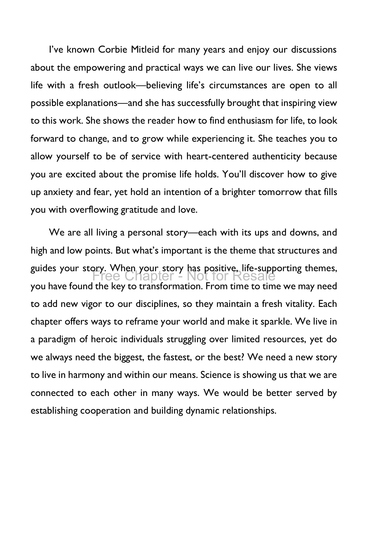I've known Corbie Mitleid for many years and enjoy our discussions about the empowering and practical ways we can live our lives. She views life with a fresh outlook—believing life's circumstances are open to all possible explanations—and she has successfully brought that inspiring view to this work. She shows the reader how to find enthusiasm for life, to look forward to change, and to grow while experiencing it. She teaches you to allow yourself to be of service with heart-centered authenticity because you are excited about the promise life holds. You'll discover how to give up anxiety and fear, yet hold an intention of a brighter tomorrow that fills you with overflowing gratitude and love.

We are all living a personal story—each with its ups and downs, and high and low points. But what's important is the theme that structures and guides your story. When your story has positive, life-supporting themes, you have found the key to transformation. From time to time we may need to add new vigor to our disciplines, so they maintain a fresh vitality. Each chapter offers ways to reframe your world and make it sparkle. We live in a paradigm of heroic individuals struggling over limited resources, yet do we always need the biggest, the fastest, or the best? We need a new story to live in harmony and within our means. Science is showing us that we are connected to each other in many ways. We would be better served by establishing cooperation and building dynamic relationships. Free Chapter - Not for Resale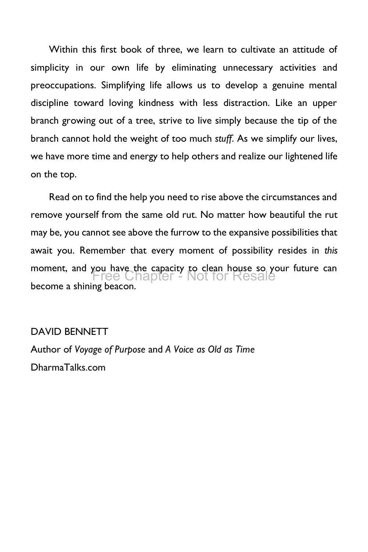Within this first book of three, we learn to cultivate an attitude of simplicity in our own life by eliminating unnecessary activities and preoccupations. Simplifying life allows us to develop a genuine mental discipline toward loving kindness with less distraction. Like an upper branch growing out of a tree, strive to live simply because the tip of the branch cannot hold the weight of too much *stuff*. As we simplify our lives, we have more time and energy to help others and realize our lightened life on the top.

Read on to find the help you need to rise above the circumstances and remove yourself from the same old rut. No matter how beautiful the rut may be, you cannot see above the furrow to the expansive possibilities that await you. Remember that every moment of possibility resides in *this* moment, and you have the capacity to clean house so your future can become a shining beacon. Free Chapter - Not for Resale

#### DAVID BENNETT

Author of *Voyage of Purpose* and *A Voice as Old as Time* DharmaTalks.com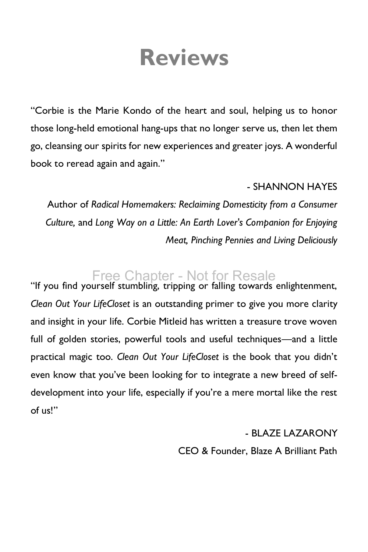## **Reviews**

<span id="page-8-0"></span>"Corbie is the Marie Kondo of the heart and soul, helping us to honor those long-held emotional hang-ups that no longer serve us, then let them go, cleansing our spirits for new experiences and greater joys. A wonderful book to reread again and again."

#### - SHANNON HAYES

Author of *Radical Homemakers: Reclaiming Domesticity from a Consumer Culture,* and *Long Way on a Little: An Earth Lover's Companion for Enjoying Meat, Pinching Pennies and Living Deliciously*

### Free Chapter - Not for Resale

"If you find yourself stumbling, tripping or falling towards enlightenment, *Clean Out Your LifeCloset* is an outstanding primer to give you more clarity and insight in your life. Corbie Mitleid has written a treasure trove woven full of golden stories, powerful tools and useful techniques—and a little practical magic too. *Clean Out Your LifeCloset* is the book that you didn't even know that you've been looking for to integrate a new breed of selfdevelopment into your life, especially if you're a mere mortal like the rest of us!"

#### - BLAZE LAZARONY

CEO & Founder, Blaze A Brilliant Path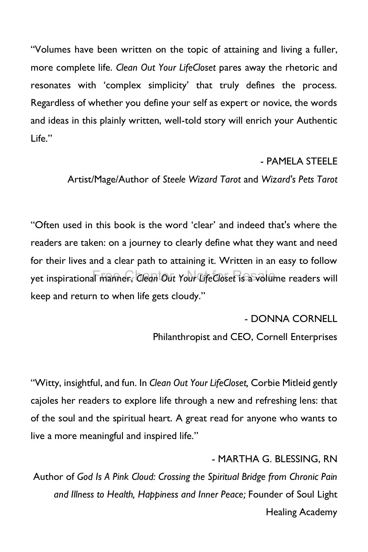"Volumes have been written on the topic of attaining and living a fuller, more complete life. *Clean Out Your LifeCloset* pares away the rhetoric and resonates with 'complex simplicity' that truly defines the process. Regardless of whether you define your self as expert or novice, the words and ideas in this plainly written, well-told story will enrich your Authentic Life."

#### - PAMELA STEELE

Artist/Mage/Author of *Steele Wizard Tarot* and *Wizard's Pets Tarot*

"Often used in this book is the word 'clear' and indeed that's where the readers are taken: on a journey to clearly define what they want and need for their lives and a clear path to attaining it. Written in an easy to follow yet inspirational manner, *Clean Out Your LifeCloset is* a volume readers will keep and return to when life gets cloudy."

- DONNA CORNELL

Philanthropist and CEO, Cornell Enterprises

"Witty, insightful, and fun. In *Clean Out Your LifeCloset,* Corbie Mitleid gently cajoles her readers to explore life through a new and refreshing lens: that of the soul and the spiritual heart. A great read for anyone who wants to live a more meaningful and inspired life."

- MARTHA G. BLESSING, RN

Author of *God Is A Pink Cloud: Crossing the Spiritual Bridge from Chronic Pain and Illness to Health, Happiness and Inner Peace;* Founder of Soul Light Healing Academy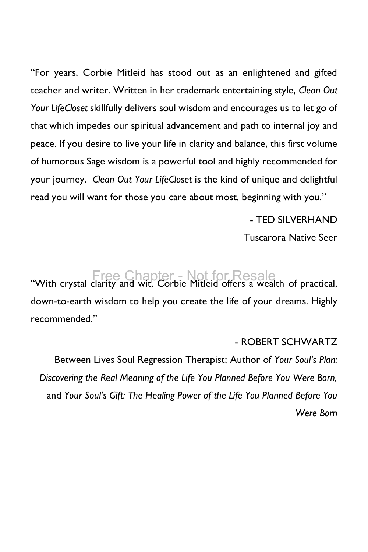"For years, Corbie Mitleid has stood out as an enlightened and gifted teacher and writer. Written in her trademark entertaining style, *Clean Out Your LifeCloset* skillfully delivers soul wisdom and encourages us to let go of that which impedes our spiritual advancement and path to internal joy and peace. If you desire to live your life in clarity and balance, this first volume of humorous Sage wisdom is a powerful tool and highly recommended for your journey. *Clean Out Your LifeCloset* is the kind of unique and delightful read you will want for those you care about most, beginning with you."

- TED SILVERHAND

Tuscarora Native Seer

Free Chapter - Not for Resale<br>"With crystal clarity and wit, Corbie Mitleid offers a wealth of practical, down-to-earth wisdom to help you create the life of your dreams. Highly recommended."

#### - ROBERT SCHWARTZ

Between Lives Soul Regression Therapist; Author of *Your Soul's Plan: Discovering the Real Meaning of the Life You Planned Before You Were Born,* and *Your Soul's Gift: The Healing Power of the Life You Planned Before You Were Born*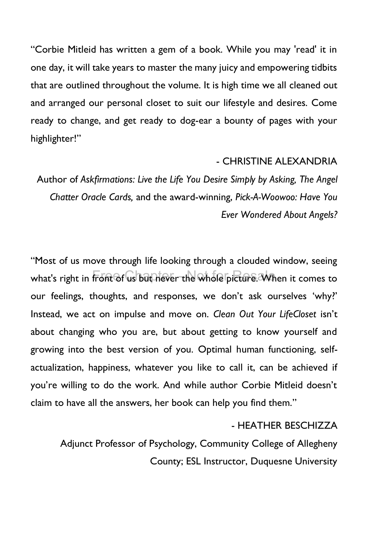"Corbie Mitleid has written a gem of a book. While you may 'read' it in one day, it will take years to master the many juicy and empowering tidbits that are outlined throughout the volume. It is high time we all cleaned out and arranged our personal closet to suit our lifestyle and desires. Come ready to change, and get ready to dog-ear a bounty of pages with your highlighter!"

#### - CHRISTINE ALEXANDRIA

Author of *Askfirmations: Live the Life You Desire Simply by Asking, The Angel Chatter Oracle Cards,* and the award-winning, *Pick-A-Woowoo: Have You Ever Wondered About Angels?*

"Most of us move through life looking through a clouded window, seeing what's right in front of us but hever the whole picture. When it comes to our feelings, thoughts, and responses, we don't ask ourselves 'why?' Instead, we act on impulse and move on. *Clean Out Your LifeCloset* isn't about changing who you are, but about getting to know yourself and growing into the best version of you. Optimal human functioning, selfactualization, happiness, whatever you like to call it, can be achieved if you're willing to do the work. And while author Corbie Mitleid doesn't claim to have all the answers, her book can help you find them."

#### - HEATHER BESCHIZZA

Adjunct Professor of Psychology, Community College of Allegheny County; ESL Instructor, Duquesne University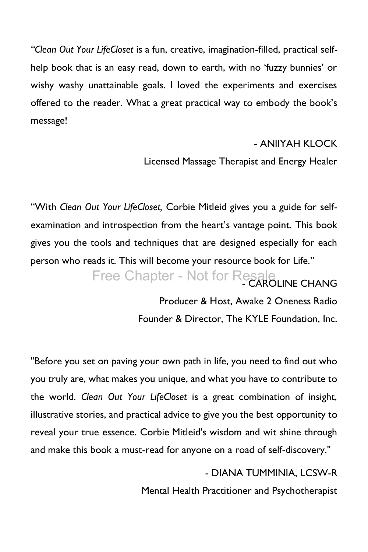*"Clean Out Your LifeCloset* is a fun, creative, imagination-filled, practical selfhelp book that is an easy read, down to earth, with no 'fuzzy bunnies' or wishy washy unattainable goals. I loved the experiments and exercises offered to the reader. What a great practical way to embody the book's message!

#### - ANIIYAH KLOCK

Licensed Massage Therapist and Energy Healer

"With *Clean Out Your LifeCloset,* Corbie Mitleid gives you a guide for selfexamination and introspection from the heart's vantage point. This book gives you the tools and techniques that are designed especially for each person who reads it. This will become your resource book for Life."

Free Chapter - Not for Resale

Producer & Host, Awake 2 Oneness Radio Founder & Director, The KYLE Foundation, Inc.

"Before you set on paving your own path in life, you need to find out who you truly are, what makes you unique, and what you have to contribute to the world. *Clean Out Your LifeCloset* is a great combination of insight, illustrative stories, and practical advice to give you the best opportunity to reveal your true essence. Corbie Mitleid's wisdom and wit shine through and make this book a must-read for anyone on a road of self-discovery."

> - DIANA TUMMINIA, LCSW-R Mental Health Practitioner and Psychotherapist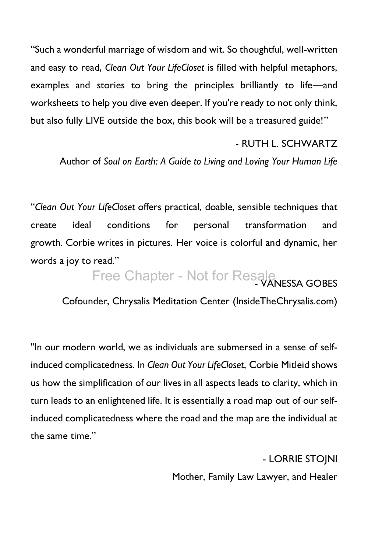"Such a wonderful marriage of wisdom and wit. So thoughtful, well-written and easy to read, *Clean Out Your LifeCloset* is filled with helpful metaphors, examples and stories to bring the principles brilliantly to life—and worksheets to help you dive even deeper. If you're ready to not only think, but also fully LIVE outside the box, this book will be a treasured guide!"

#### - RUTH L. SCHWARTZ

Author of *Soul on Earth: A Guide to Living and Loving Your Human Life*

"*Clean Out Your LifeCloset* offers practical, doable, sensible techniques that create ideal conditions for personal transformation and growth. Corbie writes in pictures. Her voice is colorful and dynamic, her words a joy to read."

Free Chapter - Not for Resale

Cofounder, Chrysalis Meditation Center [\(InsideTheChrysalis.com\)](http://insidethechrysalis.com/)

"In our modern world, we as individuals are submersed in a sense of selfinduced complicatedness. In *Clean Out Your LifeCloset*, Corbie Mitleid shows us how the simplification of our lives in all aspects leads to clarity, which in turn leads to an enlightened life. It is essentially a road map out of our selfinduced complicatedness where the road and the map are the individual at the same time."

> - LORRIE STOJNI Mother, Family Law Lawyer, and Healer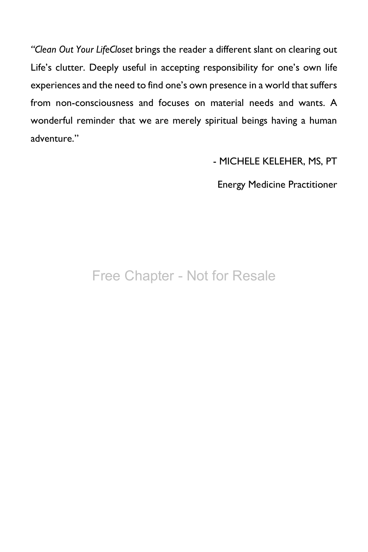*"Clean Out Your LifeCloset* brings the reader a different slant on clearing out Life's clutter. Deeply useful in accepting responsibility for one's own life experiences and the need to find one's own presence in a world that suffers from non-consciousness and focuses on material needs and wants. A wonderful reminder that we are merely spiritual beings having a human adventure."

- MICHELE KELEHER, MS, PT

Energy Medicine Practitioner

### Free Chapter - Not for Resale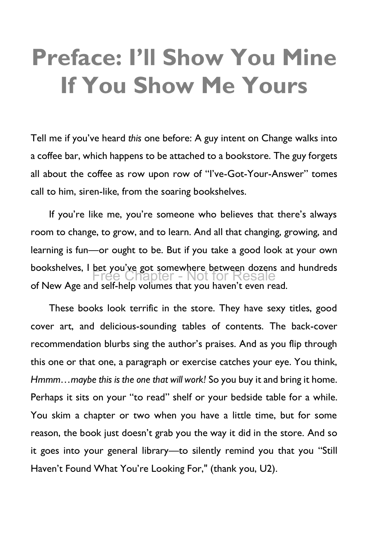## <span id="page-15-0"></span>**Preface: I'll Show You Mine If You Show Me Yours**

Tell me if you've heard *this* one before: A guy intent on Change walks into a coffee bar, which happens to be attached to a bookstore. The guy forgets all about the coffee as row upon row of "I've-Got-Your-Answer" tomes call to him, siren-like, from the soaring bookshelves.

If you're like me, you're someone who believes that there's always room to change, to grow, and to learn. And all that changing, growing, and learning is fun—or ought to be. But if you take a good look at your own bookshelves, I bet you've got somewhere between dozens and hundreds of New Age and self-help volumes that you haven't even read. Ipter - Not for Resale

These books look terrific in the store. They have sexy titles, good cover art, and delicious-sounding tables of contents. The back-cover recommendation blurbs sing the author's praises. And as you flip through this one or that one, a paragraph or exercise catches your eye. You think, *Hmmm…maybe this is the one that will work!* So you buy it and bring it home. Perhaps it sits on your "to read" shelf or your bedside table for a while. You skim a chapter or two when you have a little time, but for some reason, the book just doesn't grab you the way it did in the store. And so it goes into your general library—to silently remind you that you "Still Haven't Found What You're Looking For," (thank you, U2).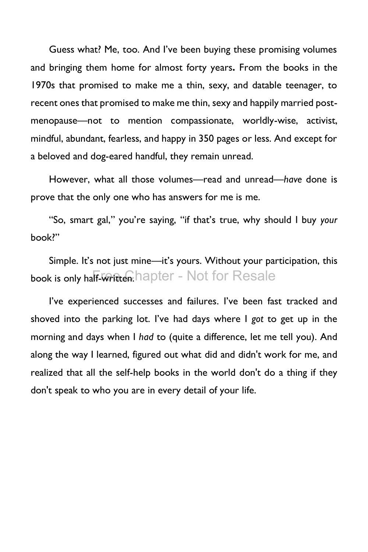Guess what? Me, too. And I've been buying these promising volumes and bringing them home for almost forty years**.** From the books in the 1970s that promised to make me a thin, sexy, and datable teenager, to recent ones that promised to make me thin, sexy and happily married postmenopause—not to mention compassionate, worldly-wise, activist, mindful, abundant, fearless, and happy in 350 pages or less. And except for a beloved and dog-eared handful, they remain unread.

However, what all those volumes—read and unread—*have* done is prove that the only one who has answers for me is me.

"So, smart gal," you're saying, "if that's true, why should I buy *your* book?"

Simple. It's not just mine—it's yours. Without your participation, this book is only half-written.hapter - Not for Resale

I've experienced successes and failures. I've been fast tracked and shoved into the parking lot. I've had days where I *got* to get up in the morning and days when I *had* to (quite a difference, let me tell you). And along the way I learned, figured out what did and didn't work for me, and realized that all the self-help books in the world don't do a thing if they don't speak to who you are in every detail of your life.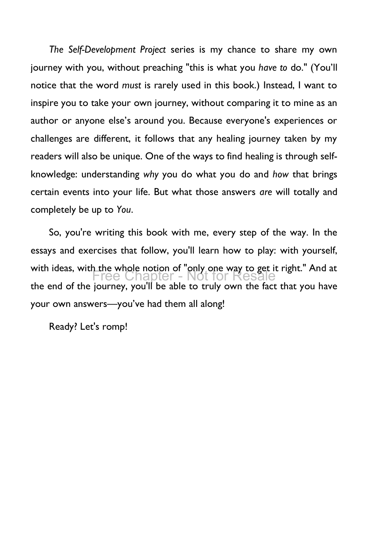*The Self-Development Project* series is my chance to share my own journey with you, without preaching "this is what you *have to* do." (You'll notice that the word *must* is rarely used in this book.) Instead, I want to inspire you to take your own journey, without comparing it to mine as an author or anyone else's around you. Because everyone's experiences or challenges are different, it follows that any healing journey taken by my readers will also be unique. One of the ways to find healing is through selfknowledge: understanding *why* you do what you do and *how* that brings certain events into your life. But what those answers *are* will totally and completely be up to *You*.

So, you're writing this book with me, every step of the way. In the essays and exercises that follow, you'll learn how to play: with yourself, with ideas, with the whole notion of "only one way to get it right." And at the end of the journey, you'll be able to truly own the fact that you have your own answers—you've had them all along! Chapter - Not

Ready? Let's romp!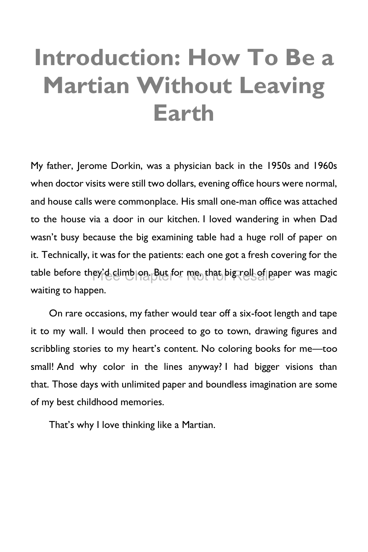## <span id="page-18-0"></span>**Introduction: How To Be a Martian Without Leaving Earth**

My father, Jerome Dorkin, was a physician back in the 1950s and 1960s when doctor visits were still two dollars, evening office hours were normal, and house calls were commonplace. His small one-man office was attached to the house via a door in our kitchen. I loved wandering in when Dad wasn't busy because the big examining table had a huge roll of paper on it. Technically, it was for the patients: each one got a fresh covering for the table before they'd dimb on. But for me, that big roll of paper was magic waiting to happen.

On rare occasions, my father would tear off a six-foot length and tape it to my wall. I would then proceed to go to town, drawing figures and scribbling stories to my heart's content. No coloring books for me—too small! And why color in the lines anyway? I had bigger visions than that. Those days with unlimited paper and boundless imagination are some of my best childhood memories.

That's why I love thinking like a Martian.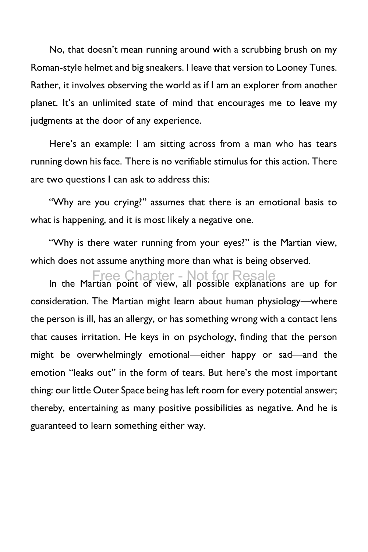No, that doesn't mean running around with a scrubbing brush on my Roman-style helmet and big sneakers. I leave that version to Looney Tunes. Rather, it involves observing the world as if I am an explorer from another planet. It's an unlimited state of mind that encourages me to leave my judgments at the door of any experience.

Here's an example: I am sitting across from a man who has tears running down his face. There is no verifiable stimulus for this action. There are two questions I can ask to address this:

"Why are you crying?" assumes that there is an emotional basis to what is happening, and it is most likely a negative one.

"Why is there water running from your eyes?" is the Martian view, which does not assume anything more than what is being observed.

Free Chapter - Not for Resale<br>In the Martian point of view, all possible explanations are up for consideration. The Martian might learn about human physiology—where the person is ill, has an allergy, or has something wrong with a contact lens that causes irritation. He keys in on psychology, finding that the person might be overwhelmingly emotional—either happy or sad—and the emotion "leaks out" in the form of tears. But here's the most important thing: our little Outer Space being has left room for every potential answer; thereby, entertaining as many positive possibilities as negative. And he is guaranteed to learn something either way.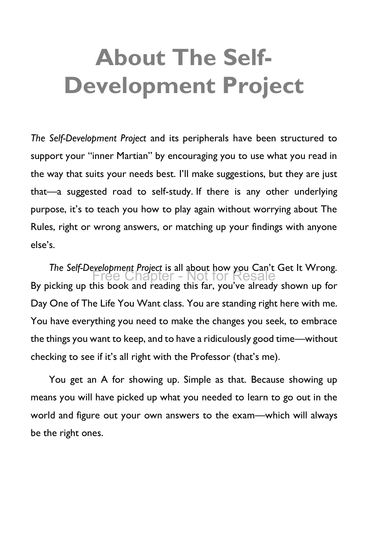# <span id="page-20-0"></span>**About The Self-Development Project**

*The Self-Development Project* and its peripherals have been structured to support your "inner Martian" by encouraging you to use what you read in the way that suits your needs best. I'll make suggestions, but they are just that—a suggested road to self-study. If there is any other underlying purpose, it's to teach you how to play again without worrying about The Rules, right or wrong answers, or matching up your findings with anyone else's.

*The Self-Development Project* is all about how you Can't Get It Wrong. By picking up this book and reading this far, you've already shown up for Day One of The Life You Want class. You are standing right here with me. You have everything you need to make the changes you seek, to embrace the things you want to keep, and to have a ridiculously good time—without checking to see if it's all right with the Professor (that's me). Chapter - Not for

You get an A for showing up. Simple as that. Because showing up means you will have picked up what you needed to learn to go out in the world and figure out your own answers to the exam—which will always be the right ones.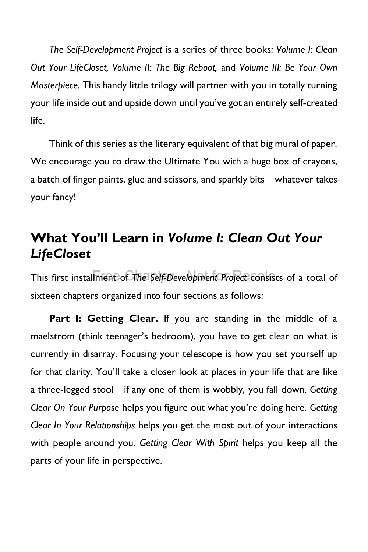*The Self-Development Project* is a series of three books: *Volume I: Clean Out Your LifeCloset, Volume II: The Big Reboot,* and *Volume III: Be Your Own Masterpiece.* This handy little trilogy will partner with you in totally turning your life inside out and upside down until you've got an entirely self-created life.

Think of this series as the literary equivalent of that big mural of paper. We encourage you to draw the Ultimate You with a huge box of crayons, a batch of finger paints, glue and scissors*,* and sparkly bits—whatever takes your fancy!

### **What You'll Learn in** *Volume I: Clean Out Your LifeCloset*

This first installment of *The Self-Development Project* consists of a total of sixteen chapters organized into four sections as follows:

**Part I: Getting Clear.** If you are standing in the middle of a maelstrom (think teenager's bedroom), you have to get clear on what is currently in disarray. Focusing your telescope is how you set yourself up for that clarity. You'll take a closer look at places in your life that are like a three-legged stool—if any one of them is wobbly, you fall down. *Getting Clear On Your Purpose* helps you figure out what you're doing here. *Getting Clear In Your Relationships* helps you get the most out of your interactions with people around you. *Getting Clear With Spirit* helps you keep all the parts of your life in perspective.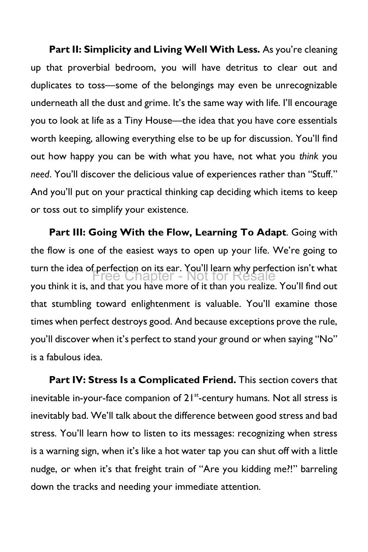Part II: Simplicity and Living Well With Less. As you're cleaning up that proverbial bedroom, you will have detritus to clear out and duplicates to toss—some of the belongings may even be unrecognizable underneath all the dust and grime. It's the same way with life. I'll encourage you to look at life as a Tiny House—the idea that you have core essentials worth keeping, allowing everything else to be up for discussion. You'll find out how happy you can be with what you have, not what you *think* you *need*. You'll discover the delicious value of experiences rather than "Stuff." And you'll put on your practical thinking cap deciding which items to keep or toss out to simplify your existence.

**Part III: Going With the Flow, Learning To Adapt**. Going with the flow is one of the easiest ways to open up your life. We're going to turn the idea of perfection on its ear. You'll learn why perfection isn't what you think it is, and that you have more of it than you realize. You'll find out that stumbling toward enlightenment is valuable. You'll examine those times when perfect destroys good. And because exceptions prove the rule, you'll discover when it's perfect to stand your ground or when saying "No" is a fabulous idea. Chapter - Not for

**Part IV: Stress Is a Complicated Friend.** This section covers that inevitable in-your-face companion of 21<sup>st</sup>-century humans. Not all stress is inevitably bad. We'll talk about the difference between good stress and bad stress. You'll learn how to listen to its messages: recognizing when stress is a warning sign, when it's like a hot water tap you can shut off with a little nudge, or when it's that freight train of "Are you kidding me?!" barreling down the tracks and needing your immediate attention*.*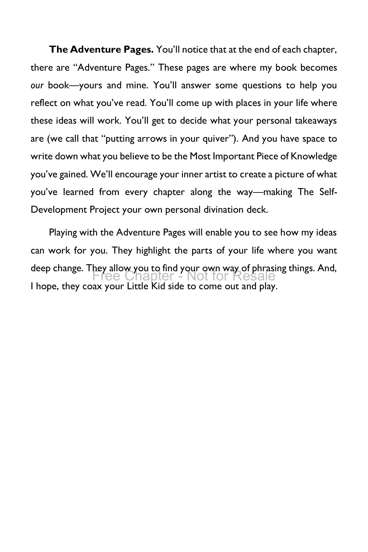**The Adventure Pages.** You'll notice that at the end of each chapter, there are "Adventure Pages." These pages are where my book becomes *our* book—yours and mine. You'll answer some questions to help you reflect on what you've read. You'll come up with places in your life where these ideas will work. You'll get to decide what your personal takeaways are (we call that "putting arrows in your quiver"). And you have space to write down what you believe to be the Most Important Piece of Knowledge you've gained. We'll encourage your inner artist to create a picture of what you've learned from every chapter along the way—making The Self-Development Project your own personal divination deck.

Playing with the Adventure Pages will enable you to see how my ideas can work for you. They highlight the parts of your life where you want deep change. They allow you to find your own way of phrasing things. And,<br>Free Chapter - Not for Resale I hope, they coax your Little Kid side to come out and play. Free Chapter - Not for Resale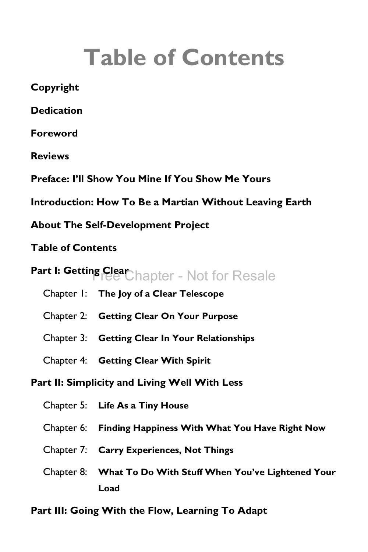# **Table of Contents**

<span id="page-24-0"></span>**[Copyright](#page-3-0) [Dedication](#page-4-0) [Foreword](#page-5-0) [Reviews](#page-8-0) [Preface: I'll Show You Mine If You Show Me Yours](#page-15-0) [Introduction: How To Be a Martian Without Leaving Earth](#page-18-0) [About The Self-Development Project](#page-20-0) [Table of Contents](#page-24-0)** [Part I: Getting Clear](#page-26-0) Chapter - Not for Resale Chapter 1: **[The Joy of a Clear Telescope](#page-27-0)** Chapter 2: **Getting Clear On Your Purpose** Chapter 3: **Getting Clear In Your Relationships** Chapter 4: **Getting Clear With Spirit Part II: Simplicity and Living Well With Less** Chapter 5: **Life As a Tiny House** Chapter 6: **Finding Happiness With What You Have Right Now** Chapter 7: **Carry Experiences, Not Things** Chapter 8: **What To Do With Stuff When You've Lightened Your Load**

**Part III: Going With the Flow, Learning To Adapt**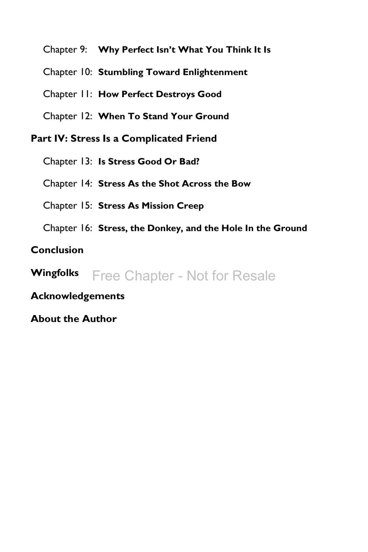Chapter 9: **Why Perfect Isn't What You Think It Is**

Chapter 10: **Stumbling Toward Enlightenment**

Chapter 11: **How Perfect Destroys Good**

Chapter 12: **When To Stand Your Ground**

**Part IV: Stress Is a Complicated Friend**

Chapter 13: **Is Stress Good Or Bad?**

Chapter 14: **Stress As the Shot Across the Bow**

Chapter 15: **Stress As Mission Creep**

Chapter 16: **Stress, the Donkey, and the Hole In the Ground**

**[Conclusion](#page-36-0)**

**Wingfolks** Free Chapter - Not for Resale

**Acknowledgements**

**[About the Author](#page-40-0)**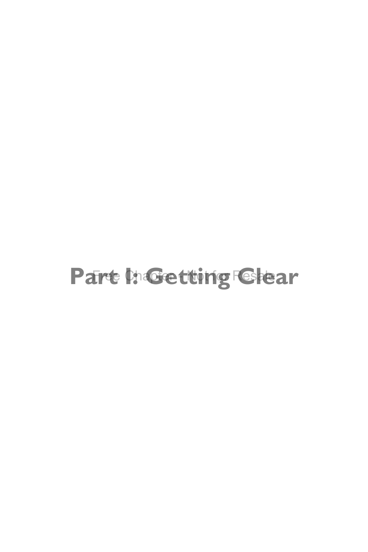## <span id="page-26-0"></span>Part h**:Getting Clear**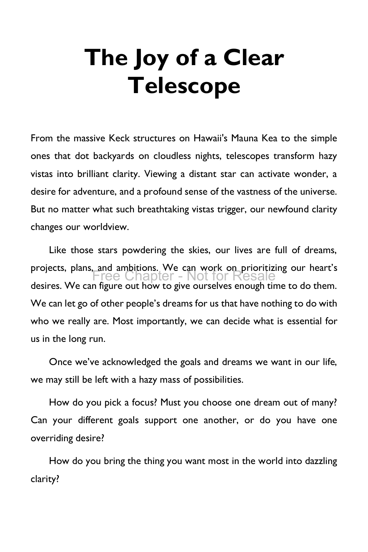# <span id="page-27-0"></span>**The Joy of a Clear Telescope**

From the massive Keck structures on Hawaii's Mauna Kea to the simple ones that dot backyards on cloudless nights, telescopes transform hazy vistas into brilliant clarity. Viewing a distant star can activate wonder, a desire for adventure, and a profound sense of the vastness of the universe. But no matter what such breathtaking vistas trigger, our newfound clarity changes our worldview.

Like those stars powdering the skies, our lives are full of dreams, projects, plans, and ambitions. We can work on prioritizing our heart's desires. We can figure out how to give ourselves enough time to do them. We can let go of other people's dreams for us that have nothing to do with who we really are. Most importantly, we can decide what is essential for us in the long run. Free Chapter - Not for Resale

Once we've acknowledged the goals and dreams we want in our life, we may still be left with a hazy mass of possibilities.

How do you pick a focus? Must you choose one dream out of many? Can your different goals support one another, or do you have one overriding desire?

How do you bring the thing you want most in the world into dazzling clarity?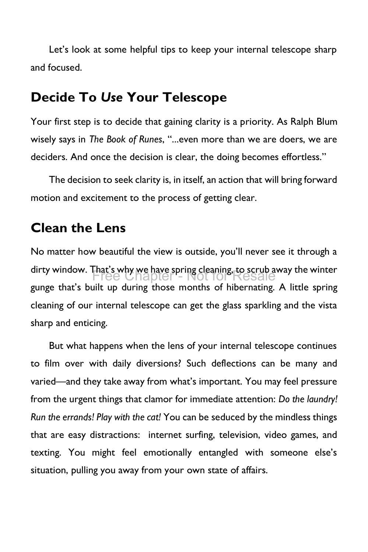Let's look at some helpful tips to keep your internal telescope sharp and focused.

### **Decide To** *Use* **Your Telescope**

Your first step is to decide that gaining clarity is a priority. As Ralph Blum wisely says in *The Book of Runes*, "...even more than we are doers, we are deciders. And once the decision is clear, the doing becomes effortless."

The decision to seek clarity is, in itself, an action that will bring forward motion and excitement to the process of getting clear.

### **Clean the Lens**

No matter how beautiful the view is outside, you'll never see it through a dirty window. That's why we have spring cleaning, to scrub away the winter<br>
Free Chapter - Not for Resale gunge that's built up during those months of hibernating. A little spring cleaning of our internal telescope can get the glass sparkling and the vista sharp and enticing.

But what happens when the lens of your internal telescope continues to film over with daily diversions? Such deflections can be many and varied—and they take away from what's important. You may feel pressure from the urgent things that clamor for immediate attention: *Do the laundry! Run the errands! Play with the cat!* You can be seduced by the mindless things that are easy distractions: internet surfing, television, video games, and texting. You might feel emotionally entangled with someone else's situation, pulling you away from your own state of affairs.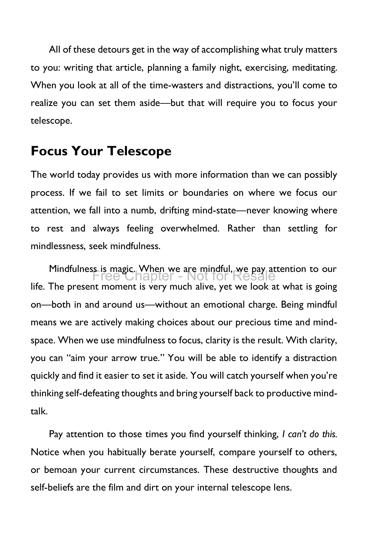All of these detours get in the way of accomplishing what truly matters to you: writing that article, planning a family night, exercising, meditating. When you look at all of the time-wasters and distractions, you'll come to realize you can set them aside—but that will require you to focus your telescope.

### **Focus Your Telescope**

The world today provides us with more information than we can possibly process. If we fail to set limits or boundaries on where we focus our attention, we fall into a numb, drifting mind-state—never knowing where to rest and always feeling overwhelmed. Rather than settling for mindlessness, seek mindfulness.

Mindfulness is magic. When we are mindful, we pay attention to our Free Chapter - Not for Resalelife. The present moment is very much alive, yet we look at what is going on—both in and around us—without an emotional charge. Being mindful means we are actively making choices about our precious time and mindspace. When we use mindfulness to focus, clarity is the result. With clarity, you can "aim your arrow true." You will be able to identify a distraction quickly and find it easier to set it aside. You will catch yourself when you're thinking self-defeating thoughts and bring yourself back to productive mindtalk.

Pay attention to those times you find yourself thinking, *I can't do this.* Notice when you habitually berate yourself, compare yourself to others, or bemoan your current circumstances. These destructive thoughts and self-beliefs are the film and dirt on your internal telescope lens.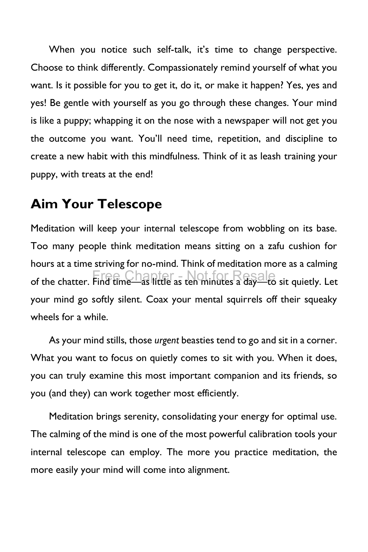When you notice such self-talk, it's time to change perspective. Choose to think differently. Compassionately remind yourself of what you want. Is it possible for you to get it, do it, or make it happen? Yes, yes and yes! Be gentle with yourself as you go through these changes. Your mind is like a puppy; whapping it on the nose with a newspaper will not get you the outcome you want. You'll need time, repetition, and discipline to create a new habit with this mindfulness. Think of it as leash training your puppy, with treats at the end!

### **Aim Your Telescope**

Meditation will keep your internal telescope from wobbling on its base. Too many people think meditation means sitting on a zafu cushion for hours at a time striving for no-mind. Think of meditation more as a calming of the chatter. Find time—as little as ten minutes a dayal to sit quietly. Let your mind go softly silent. Coax your mental squirrels off their squeaky wheels for a while.

As your mind stills, those *urgent* beasties tend to go and sit in a corner. What you want to focus on quietly comes to sit with you. When it does, you can truly examine this most important companion and its friends, so you (and they) can work together most efficiently.

Meditation brings serenity, consolidating your energy for optimal use. The calming of the mind is one of the most powerful calibration tools your internal telescope can employ. The more you practice meditation, the more easily your mind will come into alignment.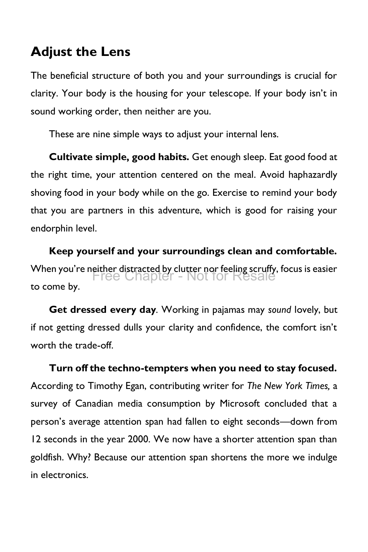#### **Adjust the Lens**

The beneficial structure of both you and your surroundings is crucial for clarity. Your body is the housing for your telescope. If your body isn't in sound working order, then neither are you.

These are nine simple ways to adjust your internal lens.

**Cultivate simple, good habits.** Get enough sleep. Eat good food at the right time, your attention centered on the meal. Avoid haphazardly shoving food in your body while on the go. Exercise to remind your body that you are partners in this adventure, which is good for raising your endorphin level.

**Keep yourself and your surroundings clean and comfortable.** When you're neither distracted by clutter nor feeling scruffy, focus is easier Free Chapter - Not for Resaleto come by.

**Get dressed every day***.* Working in pajamas may *sound* lovely, but if not getting dressed dulls your clarity and confidence, the comfort isn't worth the trade-off.

**Turn off the techno-tempters when you need to stay focused.** According to Timothy Egan, contributing writer for *The New York Times,* a survey of Canadian media consumption by Microsoft concluded that a person's average attention span had fallen to eight seconds—down from 12 seconds in the year 2000. We now have a shorter attention span than goldfish. Why? Because our attention span shortens the more we indulge in electronics.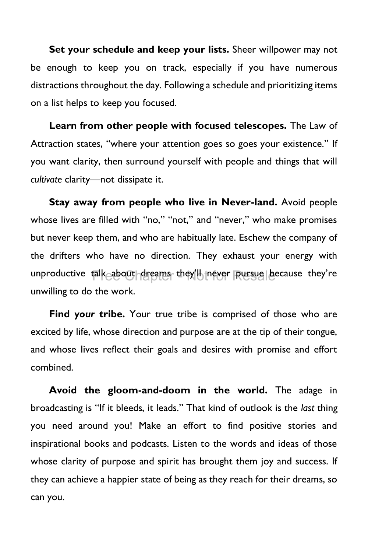**Set your schedule and keep your lists.** Sheer willpower may not be enough to keep you on track, especially if you have numerous distractions throughout the day. Following a schedule and prioritizing items on a list helps to keep you focused.

**Learn from other people with focused telescopes.** The Law of Attraction states, "where your attention goes so goes your existence." If you want clarity, then surround yourself with people and things that will *cultivate* clarity—not dissipate it.

**Stay away from people who live in Never-land.** Avoid people whose lives are filled with "no," "not," and "never," who make promises but never keep them, and who are habitually late. Eschew the company of the drifters who have no direction. They exhaust your energy with unproductive talk about dreams they'll never Russue because they're unwilling to do the work.

**Find** *your* **tribe.** Your true tribe is comprised of those who are excited by life, whose direction and purpose are at the tip of their tongue, and whose lives reflect their goals and desires with promise and effort combined.

**Avoid the gloom-and-doom in the world.** The adage in broadcasting is "If it bleeds, it leads." That kind of outlook is the *last* thing you need around you! Make an effort to find positive stories and inspirational books and podcasts. Listen to the words and ideas of those whose clarity of purpose and spirit has brought them joy and success. If they can achieve a happier state of being as they reach for their dreams, so can you.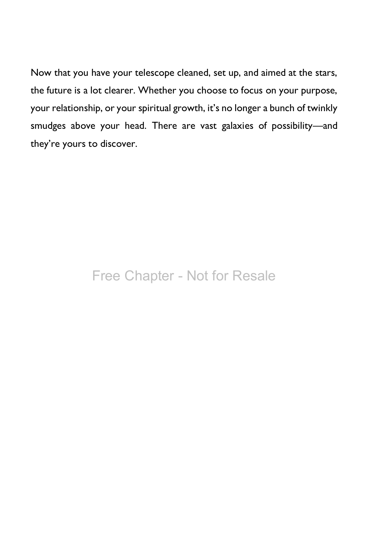Now that you have your telescope cleaned, set up, and aimed at the stars, the future is a lot clearer. Whether you choose to focus on your purpose, your relationship, or your spiritual growth, it's no longer a bunch of twinkly smudges above your head. There are vast galaxies of possibility—and they're yours to discover.

### Free Chapter - Not for Resale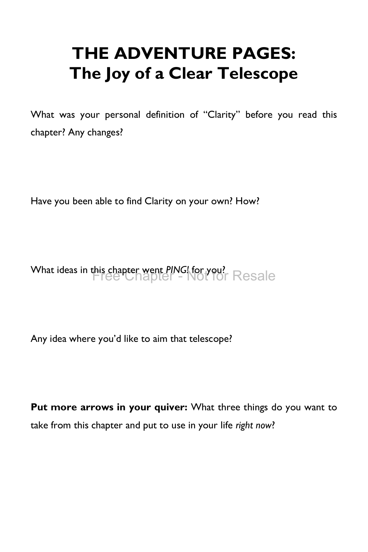### **THE ADVENTURE PAGES: The Joy of a Clear Telescope**

What was your personal definition of "Clarity" before you read this chapter? Any changes?

Have you been able to find Clarity on your own? How?

What ideas in this chapter went *PING!* for you? Free Chapter - Not for Resale

Any idea where you'd like to aim that telescope?

**Put more arrows in your quiver:** What three things do you want to take from this chapter and put to use in your life *right now*?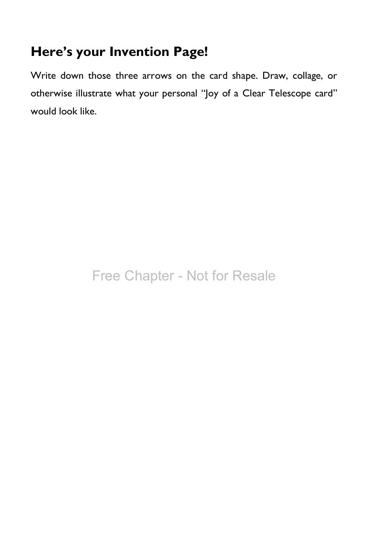### **Here's your Invention Page!**

Write down those three arrows on the card shape. Draw, collage, or otherwise illustrate what your personal "Joy of a Clear Telescope card" would look like.

### Free Chapter - Not for Resale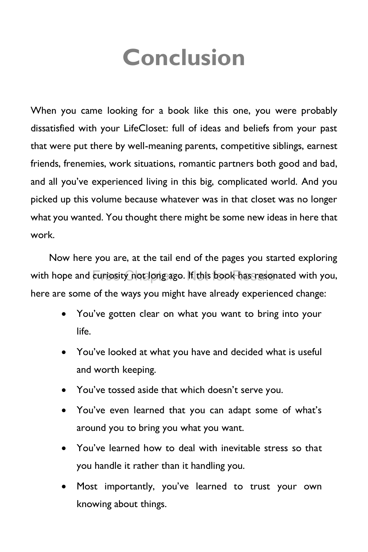## **Conclusion**

<span id="page-36-0"></span>When you came looking for a book like this one, you were probably dissatisfied with your LifeCloset: full of ideas and beliefs from your past that were put there by well-meaning parents, competitive siblings, earnest friends, frenemies, work situations, romantic partners both good and bad, and all you've experienced living in this big, complicated world. And you picked up this volume because whatever was in that closet was no longer what you wanted. You thought there might be some new ideas in here that work.

Now here you are, at the tail end of the pages you started exploring with hope and  $\overline{\text{curis}}$  not long ago. If this book has resonated with you, here are some of the ways you might have already experienced change:

- You've gotten clear on what you want to bring into your life.
- You've looked at what you have and decided what is useful and worth keeping.
- You've tossed aside that which doesn't serve you.
- You've even learned that you can adapt some of what's around you to bring you what you want.
- You've learned how to deal with inevitable stress so that you handle it rather than it handling you.
- Most importantly, you've learned to trust your own knowing about things.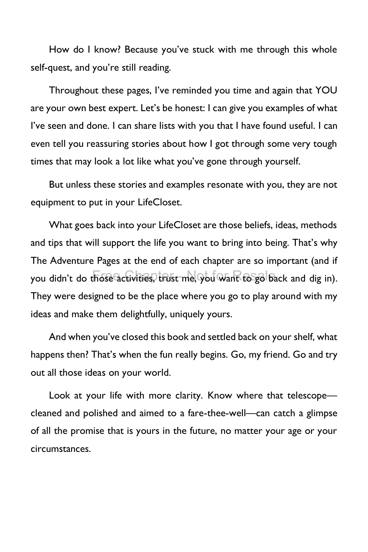How do I know? Because you've stuck with me through this whole self-quest, and you're still reading.

Throughout these pages, I've reminded you time and again that YOU are your own best expert. Let's be honest: I can give you examples of what I've seen and done. I can share lists with you that I have found useful. I can even tell you reassuring stories about how I got through some very tough times that may look a lot like what you've gone through yourself.

But unless these stories and examples resonate with you, they are not equipment to put in your LifeCloset.

What goes back into your LifeCloset are those beliefs, ideas, methods and tips that will support the life you want to bring into being. That's why The Adventure Pages at the end of each chapter are so important (and if you didn't do thoseQctivities, trust me, you want to go back and dig in). They were designed to be the place where you go to play around with my ideas and make them delightfully, uniquely yours.

And when you've closed this book and settled back on your shelf, what happens then? That's when the fun really begins. Go, my friend. Go and try out all those ideas on your world.

Look at your life with more clarity. Know where that telescope cleaned and polished and aimed to a fare-thee-well—can catch a glimpse of all the promise that is yours in the future, no matter your age or your circumstances.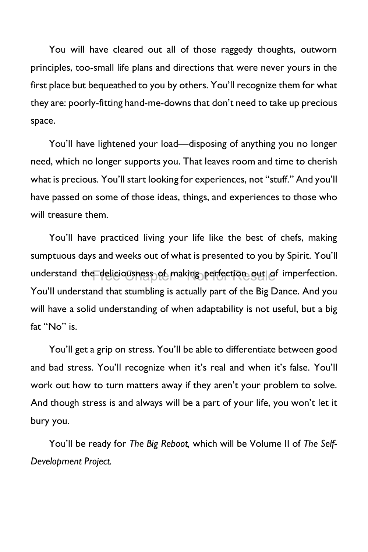You will have cleared out all of those raggedy thoughts, outworn principles, too-small life plans and directions that were never yours in the first place but bequeathed to you by others. You'll recognize them for what they are: poorly-fitting hand-me-downs that don't need to take up precious space.

You'll have lightened your load—disposing of anything you no longer need, which no longer supports you. That leaves room and time to cherish what is precious. You'll start looking for experiences, not "stuff." And you'll have passed on some of those ideas, things, and experiences to those who will treasure them.

You'll have practiced living your life like the best of chefs, making sumptuous days and weeks out of what is presented to you by Spirit. You'll understand the deliciousness of making perfection gut of imperfection. You'll understand that stumbling is actually part of the Big Dance. And you will have a solid understanding of when adaptability is not useful, but a big fat "No" is.

You'll get a grip on stress. You'll be able to differentiate between good and bad stress. You'll recognize when it's real and when it's false. You'll work out how to turn matters away if they aren't your problem to solve. And though stress is and always will be a part of your life, you won't let it bury you.

You'll be ready for *The Big Reboot,* which will be Volume II of *The Self-Development Project.*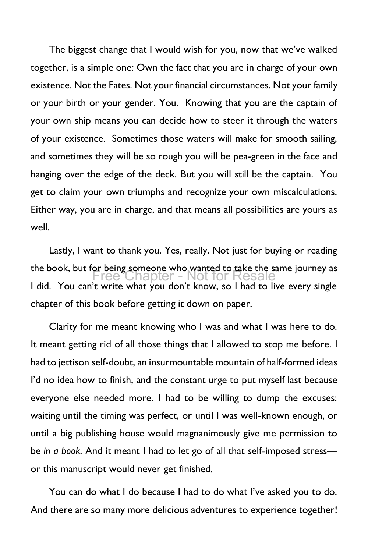The biggest change that I would wish for you, now that we've walked together, is a simple one: Own the fact that you are in charge of your own existence. Not the Fates. Not your financial circumstances. Not your family or your birth or your gender. You. Knowing that you are the captain of your own ship means you can decide how to steer it through the waters of your existence. Sometimes those waters will make for smooth sailing, and sometimes they will be so rough you will be pea-green in the face and hanging over the edge of the deck. But you will still be the captain. You get to claim your own triumphs and recognize your own miscalculations. Either way, you are in charge, and that means all possibilities are yours as well.

Lastly, I want to thank you. Yes, really. Not just for buying or reading the book, but for being someone who wanted to take the same journey as I did. You can't write what you don't know, so I had to live every single chapter of this book before getting it down on paper. Free Chapter - Not for Resale

Clarity for me meant knowing who I was and what I was here to do. It meant getting rid of all those things that I allowed to stop me before. I had to jettison self-doubt, an insurmountable mountain of half-formed ideas I'd no idea how to finish, and the constant urge to put myself last because everyone else needed more. I had to be willing to dump the excuses: waiting until the timing was perfect, or until I was well-known enough, or until a big publishing house would magnanimously give me permission to be *in a book.* And it meant I had to let go of all that self-imposed stress or this manuscript would never get finished.

You can do what I do because I had to do what I've asked you to do. And there are so many more delicious adventures to experience together!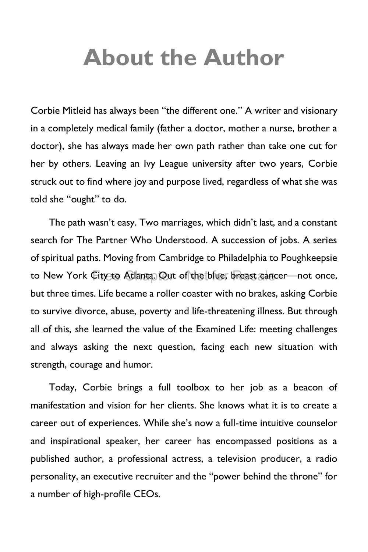## <span id="page-40-0"></span>**About the Author**

Corbie Mitleid has always been "the different one." A writer and visionary in a completely medical family (father a doctor, mother a nurse, brother a doctor), she has always made her own path rather than take one cut for her by others. Leaving an Ivy League university after two years, Corbie struck out to find where joy and purpose lived, regardless of what she was told she "ought" to do.

The path wasn't easy. Two marriages, which didn't last, and a constant search for The Partner Who Understood. A succession of jobs. A series of spiritual paths. Moving from Cambridge to Philadelphia to Poughkeepsie to New York City to Atlanta. Out of the blue, breast cancer—not once, but three times. Life became a roller coaster with no brakes, asking Corbie to survive divorce, abuse, poverty and life-threatening illness. But through all of this, she learned the value of the Examined Life: meeting challenges and always asking the next question, facing each new situation with strength, courage and humor.

Today, Corbie brings a full toolbox to her job as a beacon of manifestation and vision for her clients. She knows what it is to create a career out of experiences. While she's now a full-time intuitive counselor and inspirational speaker, her career has encompassed positions as a published author, a professional actress, a television producer, a radio personality, an executive recruiter and the "power behind the throne" for a number of high-profile CEOs.